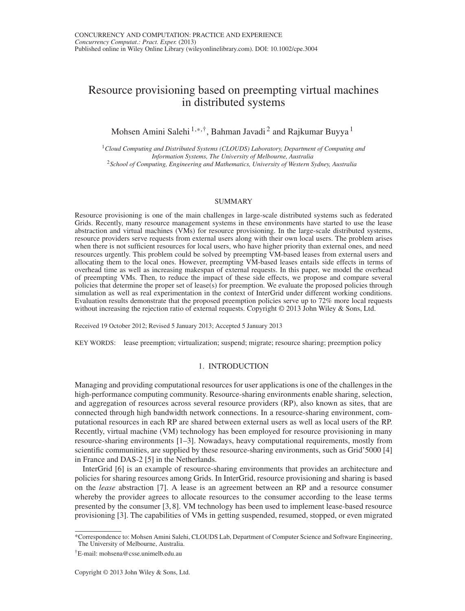# Resource provisioning based on preempting virtual machines in distributed systems

Mohsen Amini Salehi  $1,*,\dagger$ , Bahman Javadi<sup>2</sup> and Rajkumar Buyya<sup>1</sup>

<sup>1</sup>*Cloud Computing and Distributed Systems (CLOUDS) Laboratory, Department of Computing and Information Systems, The University of Melbourne, Australia* <sup>2</sup>*School of Computing, Engineering and Mathematics, University of Western Sydney, Australia*

## SUMMARY

Resource provisioning is one of the main challenges in large-scale distributed systems such as federated Grids. Recently, many resource management systems in these environments have started to use the lease abstraction and virtual machines (VMs) for resource provisioning. In the large-scale distributed systems, resource providers serve requests from external users along with their own local users. The problem arises when there is not sufficient resources for local users, who have higher priority than external ones, and need resources urgently. This problem could be solved by preempting VM-based leases from external users and allocating them to the local ones. However, preempting VM-based leases entails side effects in terms of overhead time as well as increasing makespan of external requests. In this paper, we model the overhead of preempting VMs. Then, to reduce the impact of these side effects, we propose and compare several policies that determine the proper set of lease(s) for preemption. We evaluate the proposed policies through simulation as well as real experimentation in the context of InterGrid under different working conditions. Evaluation results demonstrate that the proposed preemption policies serve up to 72% more local requests without increasing the rejection ratio of external requests. Copyright © 2013 John Wiley & Sons, Ltd.

Received 19 October 2012; Revised 5 January 2013; Accepted 5 January 2013

KEY WORDS: lease preemption; virtualization; suspend; migrate; resource sharing; preemption policy

#### 1. INTRODUCTION

Managing and providing computational resources for user applications is one of the challenges in the high-performance computing community. Resource-sharing environments enable sharing, selection, and aggregation of resources across several resource providers (RP), also known as sites, that are connected through high bandwidth network connections. In a resource-sharing environment, computational resources in each RP are shared between external users as well as local users of the RP. Recently, virtual machine (VM) technology has been employed for resource provisioning in many resource-sharing environments [1–3]. Nowadays, heavy computational requirements, mostly from scientific communities, are supplied by these resource-sharing environments, such as Grid'5000 [4] in France and DAS-2 [5] in the Netherlands.

InterGrid [6] is an example of resource-sharing environments that provides an architecture and policies for sharing resources among Grids. In InterGrid, resource provisioning and sharing is based on the *lease* abstraction [7]. A lease is an agreement between an RP and a resource consumer whereby the provider agrees to allocate resources to the consumer according to the lease terms presented by the consumer [3, 8]. VM technology has been used to implement lease-based resource provisioning [3]. The capabilities of VMs in getting suspended, resumed, stopped, or even migrated

<sup>\*</sup>Correspondence to: Mohsen Amini Salehi, CLOUDS Lab, Department of Computer Science and Software Engineering, The University of Melbourne, Australia.

<sup>†</sup>E-mail: mohsena@csse.unimelb.edu.au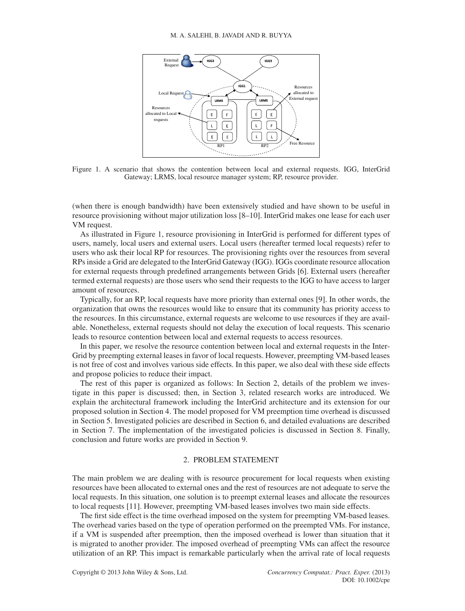

Figure 1. A scenario that shows the contention between local and external requests. IGG, InterGrid Gateway; LRMS, local resource manager system; RP, resource provider.

(when there is enough bandwidth) have been extensively studied and have shown to be useful in resource provisioning without major utilization loss [8–10]. InterGrid makes one lease for each user VM request.

As illustrated in Figure 1, resource provisioning in InterGrid is performed for different types of users, namely, local users and external users. Local users (hereafter termed local requests) refer to users who ask their local RP for resources. The provisioning rights over the resources from several RPs inside a Grid are delegated to the InterGrid Gateway (IGG). IGGs coordinate resource allocation for external requests through predefined arrangements between Grids [6]. External users (hereafter termed external requests) are those users who send their requests to the IGG to have access to larger amount of resources.

Typically, for an RP, local requests have more priority than external ones [9]. In other words, the organization that owns the resources would like to ensure that its community has priority access to the resources. In this circumstance, external requests are welcome to use resources if they are available. Nonetheless, external requests should not delay the execution of local requests. This scenario leads to resource contention between local and external requests to access resources.

In this paper, we resolve the resource contention between local and external requests in the Inter-Grid by preempting external leases in favor of local requests. However, preempting VM-based leases is not free of cost and involves various side effects. In this paper, we also deal with these side effects and propose policies to reduce their impact.

The rest of this paper is organized as follows: In Section 2, details of the problem we investigate in this paper is discussed; then, in Section 3, related research works are introduced. We explain the architectural framework including the InterGrid architecture and its extension for our proposed solution in Section 4. The model proposed for VM preemption time overhead is discussed in Section 5. Investigated policies are described in Section 6, and detailed evaluations are described in Section 7. The implementation of the investigated policies is discussed in Section 8. Finally, conclusion and future works are provided in Section 9.

## 2. PROBLEM STATEMENT

The main problem we are dealing with is resource procurement for local requests when existing resources have been allocated to external ones and the rest of resources are not adequate to serve the local requests. In this situation, one solution is to preempt external leases and allocate the resources to local requests [11]. However, preempting VM-based leases involves two main side effects.

The first side effect is the time overhead imposed on the system for preempting VM-based leases. The overhead varies based on the type of operation performed on the preempted VMs. For instance, if a VM is suspended after preemption, then the imposed overhead is lower than situation that it is migrated to another provider. The imposed overhead of preempting VMs can affect the resource utilization of an RP. This impact is remarkable particularly when the arrival rate of local requests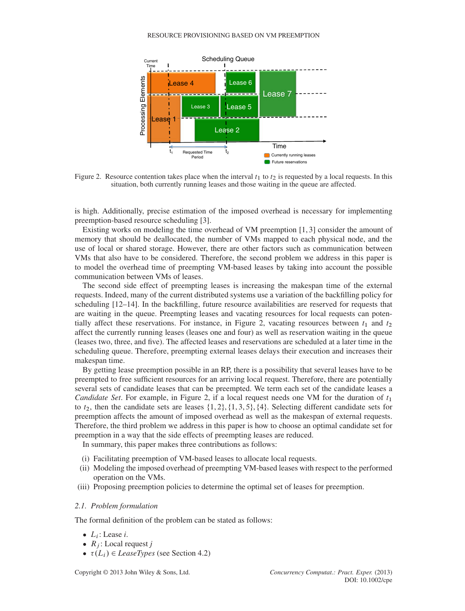#### RESOURCE PROVISIONING BASED ON VM PREEMPTION



Figure 2. Resource contention takes place when the interval  $t_1$  to  $t_2$  is requested by a local requests. In this situation, both currently running leases and those waiting in the queue are affected.

is high. Additionally, precise estimation of the imposed overhead is necessary for implementing preemption-based resource scheduling [3].

Existing works on modeling the time overhead of VM preemption [1, 3] consider the amount of memory that should be deallocated, the number of VMs mapped to each physical node, and the use of local or shared storage. However, there are other factors such as communication between VMs that also have to be considered. Therefore, the second problem we address in this paper is to model the overhead time of preempting VM-based leases by taking into account the possible communication between VMs of leases.

The second side effect of preempting leases is increasing the makespan time of the external requests. Indeed, many of the current distributed systems use a variation of the backfilling policy for scheduling [12–14]. In the backfilling, future resource availabilities are reserved for requests that are waiting in the queue. Preempting leases and vacating resources for local requests can potentially affect these reservations. For instance, in Figure 2, vacating resources between  $t_1$  and  $t_2$ affect the currently running leases (leases one and four) as well as reservation waiting in the queue (leases two, three, and five). The affected leases and reservations are scheduled at a later time in the scheduling queue. Therefore, preempting external leases delays their execution and increases their makespan time.

By getting lease preemption possible in an RP, there is a possibility that several leases have to be preempted to free sufficient resources for an arriving local request. Therefore, there are potentially several sets of candidate leases that can be preempted. We term each set of the candidate leases a *Candidate Set*. For example, in Figure 2, if a local request needs one VM for the duration of  $t_1$ to  $t_2$ , then the candidate sets are leases  $\{1, 2\}, \{1, 3, 5\}, \{4\}$ . Selecting different candidate sets for preemption affects the amount of imposed overhead as well as the makespan of external requests. Therefore, the third problem we address in this paper is how to choose an optimal candidate set for preemption in a way that the side effects of preempting leases are reduced.

In summary, this paper makes three contributions as follows:

- (i) Facilitating preemption of VM-based leases to allocate local requests.
- (ii) Modeling the imposed overhead of preempting VM-based leases with respect to the performed operation on the VMs.
- (iii) Proposing preemption policies to determine the optimal set of leases for preemption.

## *2.1. Problem formulation*

The formal definition of the problem can be stated as follows:

- $\bullet$  *L<sub>i</sub>*: Lease *i*.
- $R_j$ : Local request *j*
- $\tau(L_i) \in \text{LeaseTypes}$  (see Section 4.2)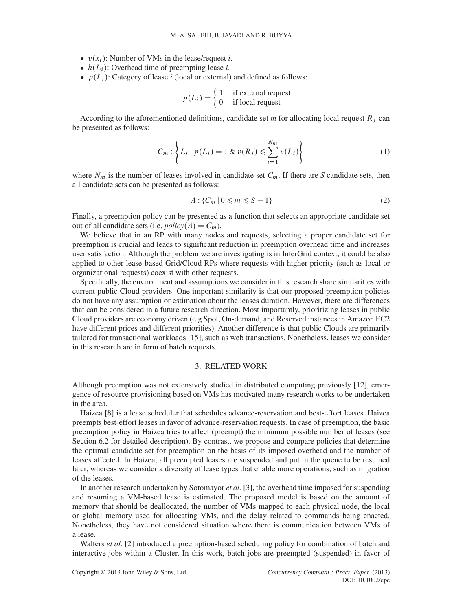- $v(x_i)$ : Number of VMs in the lease/request *i*.
- $\bullet$   $h(L_i)$ : Overhead time of preempting lease *i*.
- $\bullet$   $p(L_i)$ : Category of lease *i* (local or external) and defined as follows:

$$
p(L_i) = \begin{cases} 1 & \text{if external request} \\ 0 & \text{if local request} \end{cases}
$$

According to the aforementioned definitions, candidate set  $m$  for allocating local request  $R_i$  can be presented as follows:

$$
C_m: \left\{ L_i \mid p(L_i) = 1 \& v(R_j) \leq \sum_{i=1}^{N_m} v(L_i) \right\}
$$
 (1)

where  $N_m$  is the number of leases involved in candidate set  $C_m$ . If there are *S* candidate sets, then all candidate sets can be presented as follows:

$$
A: \{C_m \mid 0 \le m \le S - 1\} \tag{2}
$$

Finally, a preemption policy can be presented as a function that selects an appropriate candidate set out of all candidate sets (i.e. *policy* $(A) = C_m$ ).

We believe that in an RP with many nodes and requests, selecting a proper candidate set for preemption is crucial and leads to significant reduction in preemption overhead time and increases user satisfaction. Although the problem we are investigating is in InterGrid context, it could be also applied to other lease-based Grid/Cloud RPs where requests with higher priority (such as local or organizational requests) coexist with other requests.

Specifically, the environment and assumptions we consider in this research share similarities with current public Cloud providers. One important similarity is that our proposed preemption policies do not have any assumption or estimation about the leases duration. However, there are differences that can be considered in a future research direction. Most importantly, prioritizing leases in public Cloud providers are economy driven (e.g Spot, On-demand, and Reserved instances in Amazon EC2 have different prices and different priorities). Another difference is that public Clouds are primarily tailored for transactional workloads [15], such as web transactions. Nonetheless, leases we consider in this research are in form of batch requests.

## 3. RELATED WORK

Although preemption was not extensively studied in distributed computing previously [12], emergence of resource provisioning based on VMs has motivated many research works to be undertaken in the area.

Haizea [8] is a lease scheduler that schedules advance-reservation and best-effort leases. Haizea preempts best-effort leases in favor of advance-reservation requests. In case of preemption, the basic preemption policy in Haizea tries to affect (preempt) the minimum possible number of leases (see Section 6.2 for detailed description). By contrast, we propose and compare policies that determine the optimal candidate set for preemption on the basis of its imposed overhead and the number of leases affected. In Haizea, all preempted leases are suspended and put in the queue to be resumed later, whereas we consider a diversity of lease types that enable more operations, such as migration of the leases.

In another research undertaken by Sotomayor *et al.* [3], the overhead time imposed for suspending and resuming a VM-based lease is estimated. The proposed model is based on the amount of memory that should be deallocated, the number of VMs mapped to each physical node, the local or global memory used for allocating VMs, and the delay related to commands being enacted. Nonetheless, they have not considered situation where there is communication between VMs of a lease.

Walters *et al.* [2] introduced a preemption-based scheduling policy for combination of batch and interactive jobs within a Cluster. In this work, batch jobs are preempted (suspended) in favor of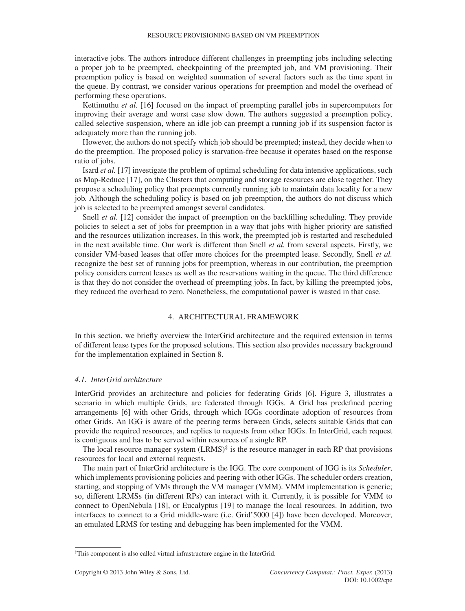interactive jobs. The authors introduce different challenges in preempting jobs including selecting a proper job to be preempted, checkpointing of the preempted job, and VM provisioning. Their preemption policy is based on weighted summation of several factors such as the time spent in the queue. By contrast, we consider various operations for preemption and model the overhead of performing these operations.

Kettimuthu *et al.* [16] focused on the impact of preempting parallel jobs in supercomputers for improving their average and worst case slow down. The authors suggested a preemption policy, called selective suspension, where an idle job can preempt a running job if its suspension factor is adequately more than the running job.

However, the authors do not specify which job should be preempted; instead, they decide when to do the preemption. The proposed policy is starvation-free because it operates based on the response ratio of jobs.

Isard *et al.* [17] investigate the problem of optimal scheduling for data intensive applications, such as Map-Reduce [17], on the Clusters that computing and storage resources are close together. They propose a scheduling policy that preempts currently running job to maintain data locality for a new job. Although the scheduling policy is based on job preemption, the authors do not discuss which job is selected to be preempted amongst several candidates.

Snell *et al.* [12] consider the impact of preemption on the backfilling scheduling. They provide policies to select a set of jobs for preemption in a way that jobs with higher priority are satisfied and the resources utilization increases. In this work, the preempted job is restarted and rescheduled in the next available time. Our work is different than Snell *et al.* from several aspects. Firstly, we consider VM-based leases that offer more choices for the preempted lease. Secondly, Snell *et al.* recognize the best set of running jobs for preemption, whereas in our contribution, the preemption policy considers current leases as well as the reservations waiting in the queue. The third difference is that they do not consider the overhead of preempting jobs. In fact, by killing the preempted jobs, they reduced the overhead to zero. Nonetheless, the computational power is wasted in that case.

# 4. ARCHITECTURAL FRAMEWORK

In this section, we briefly overview the InterGrid architecture and the required extension in terms of different lease types for the proposed solutions. This section also provides necessary background for the implementation explained in Section 8.

# *4.1. InterGrid architecture*

InterGrid provides an architecture and policies for federating Grids [6]. Figure 3, illustrates a scenario in which multiple Grids, are federated through IGGs. A Grid has predefined peering arrangements [6] with other Grids, through which IGGs coordinate adoption of resources from other Grids. An IGG is aware of the peering terms between Grids, selects suitable Grids that can provide the required resources, and replies to requests from other IGGs. In InterGrid, each request is contiguous and has to be served within resources of a single RP.

The local resource manager system  $(LRMS)^{\ddagger}$  is the resource manager in each RP that provisions resources for local and external requests.

The main part of InterGrid architecture is the IGG. The core component of IGG is its *Scheduler*, which implements provisioning policies and peering with other IGGs. The scheduler orders creation, starting, and stopping of VMs through the VM manager (VMM). VMM implementation is generic; so, different LRMSs (in different RPs) can interact with it. Currently, it is possible for VMM to connect to OpenNebula [18], or Eucalyptus [19] to manage the local resources. In addition, two interfaces to connect to a Grid middle-ware (i.e. Grid'5000 [4]) have been developed. Moreover, an emulated LRMS for testing and debugging has been implemented for the VMM.

<sup>‡</sup> This component is also called virtual infrastructure engine in the InterGrid.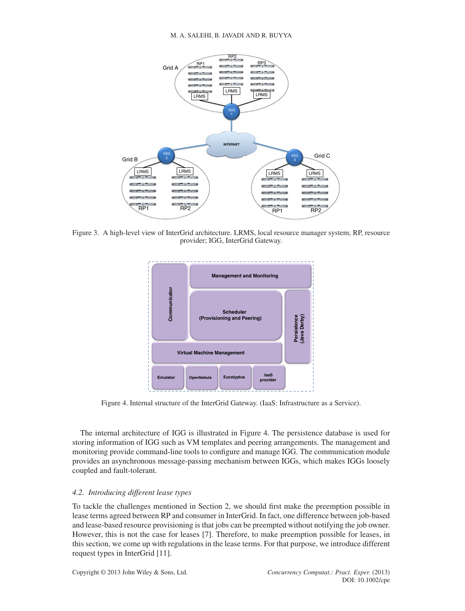## M. A. SALEHI, B. JAVADI AND R. BUYYA



Figure 3. A high-level view of InterGrid architecture. LRMS, local resource manager system; RP, resource provider; IGG, InterGrid Gateway.



Figure 4. Internal structure of the InterGrid Gateway. (IaaS: Infrastructure as a Service).

The internal architecture of IGG is illustrated in Figure 4. The persistence database is used for storing information of IGG such as VM templates and peering arrangements. The management and monitoring provide command-line tools to configure and manage IGG. The communication module provides an asynchronous message-passing mechanism between IGGs, which makes IGGs loosely coupled and fault-tolerant.

# *4.2. Introducing different lease types*

To tackle the challenges mentioned in Section 2, we should first make the preemption possible in lease terms agreed between RP and consumer in InterGrid. In fact, one difference between job-based and lease-based resource provisioning is that jobs can be preempted without notifying the job owner. However, this is not the case for leases [7]. Therefore, to make preemption possible for leases, in this section, we come up with regulations in the lease terms. For that purpose, we introduce different request types in InterGrid [11].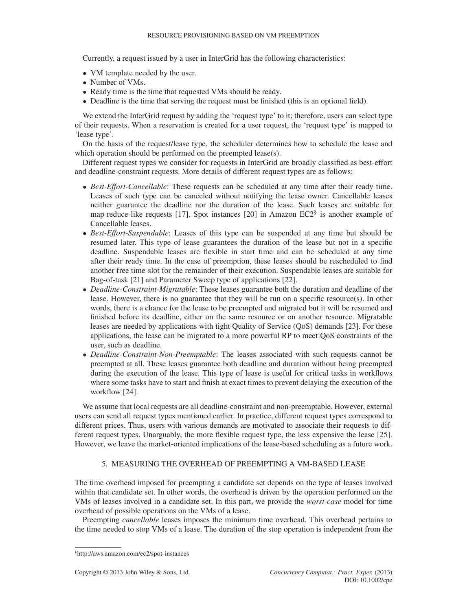Currently, a request issued by a user in InterGrid has the following characteristics:

- VM template needed by the user.
- Number of VMs.
- Ready time is the time that requested VMs should be ready.
- Deadline is the time that serving the request must be finished (this is an optional field).

We extend the InterGrid request by adding the 'request type' to it; therefore, users can select type of their requests. When a reservation is created for a user request, the 'request type' is mapped to 'lease type'.

On the basis of the request/lease type, the scheduler determines how to schedule the lease and which operation should be performed on the preempted lease(s).

Different request types we consider for requests in InterGrid are broadly classified as best-effort and deadline-constraint requests. More details of different request types are as follows:

- *Best-Effort-Cancellable*: These requests can be scheduled at any time after their ready time. Leases of such type can be canceled without notifying the lease owner. Cancellable leases neither guarantee the deadline nor the duration of the lease. Such leases are suitable for map-reduce-like requests [17]. Spot instances [20] in Amazon EC2 $\frac{8}{3}$  is another example of Cancellable leases.
- *Best-Effort-Suspendable*: Leases of this type can be suspended at any time but should be resumed later. This type of lease guarantees the duration of the lease but not in a specific deadline. Suspendable leases are flexible in start time and can be scheduled at any time after their ready time. In the case of preemption, these leases should be rescheduled to find another free time-slot for the remainder of their execution. Suspendable leases are suitable for Bag-of-task [21] and Parameter Sweep type of applications [22].
- *Deadline-Constraint-Migratable*: These leases guarantee both the duration and deadline of the lease. However, there is no guarantee that they will be run on a specific resource(s). In other words, there is a chance for the lease to be preempted and migrated but it will be resumed and finished before its deadline, either on the same resource or on another resource. Migratable leases are needed by applications with tight Quality of Service (QoS) demands [23]. For these applications, the lease can be migrated to a more powerful RP to meet QoS constraints of the user, such as deadline.
- *Deadline-Constraint-Non-Preemptable*: The leases associated with such requests cannot be preempted at all. These leases guarantee both deadline and duration without being preempted during the execution of the lease. This type of lease is useful for critical tasks in workflows where some tasks have to start and finish at exact times to prevent delaying the execution of the workflow [24].

We assume that local requests are all deadline-constraint and non-preemptable. However, external users can send all request types mentioned earlier. In practice, different request types correspond to different prices. Thus, users with various demands are motivated to associate their requests to different request types. Unarguably, the more flexible request type, the less expensive the lease [25]. However, we leave the market-oriented implications of the lease-based scheduling as a future work.

# 5. MEASURING THE OVERHEAD OF PREEMPTING A VM-BASED LEASE

The time overhead imposed for preempting a candidate set depends on the type of leases involved within that candidate set. In other words, the overhead is driven by the operation performed on the VMs of leases involved in a candidate set. In this part, we provide the *worst-case* model for time overhead of possible operations on the VMs of a lease.

Preempting *cancellable* leases imposes the minimum time overhead. This overhead pertains to the time needed to stop VMs of a lease. The duration of the stop operation is independent from the

<sup>§</sup> http://aws.amazon.com/ec2/spot-instances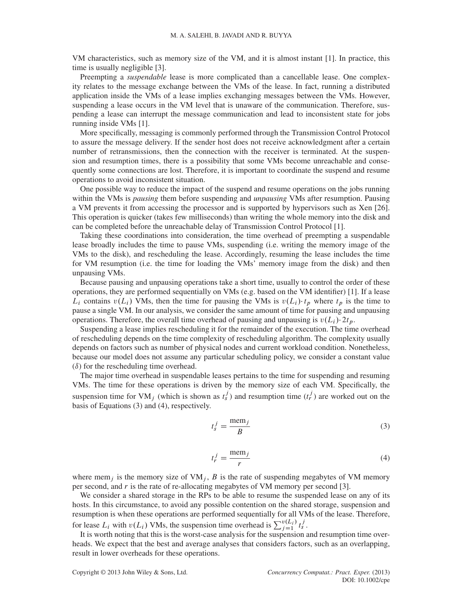VM characteristics, such as memory size of the VM, and it is almost instant [1]. In practice, this time is usually negligible [3].

Preempting a *suspendable* lease is more complicated than a cancellable lease. One complexity relates to the message exchange between the VMs of the lease. In fact, running a distributed application inside the VMs of a lease implies exchanging messages between the VMs. However, suspending a lease occurs in the VM level that is unaware of the communication. Therefore, suspending a lease can interrupt the message communication and lead to inconsistent state for jobs running inside VMs [1].

More specifically, messaging is commonly performed through the Transmission Control Protocol to assure the message delivery. If the sender host does not receive acknowledgment after a certain number of retransmissions, then the connection with the receiver is terminated. At the suspension and resumption times, there is a possibility that some VMs become unreachable and consequently some connections are lost. Therefore, it is important to coordinate the suspend and resume operations to avoid inconsistent situation.

One possible way to reduce the impact of the suspend and resume operations on the jobs running within the VMs is *pausing* them before suspending and *unpausing* VMs after resumption. Pausing a VM prevents it from accessing the processor and is supported by hypervisors such as Xen [26]. This operation is quicker (takes few milliseconds) than writing the whole memory into the disk and can be completed before the unreachable delay of Transmission Control Protocol [1].

Taking these coordinations into consideration, the time overhead of preempting a suspendable lease broadly includes the time to pause VMs, suspending (i.e. writing the memory image of the VMs to the disk), and rescheduling the lease. Accordingly, resuming the lease includes the time for VM resumption (i.e. the time for loading the VMs' memory image from the disk) and then unpausing VMs.

Because pausing and unpausing operations take a short time, usually to control the order of these operations, they are performed sequentially on VMs (e.g. based on the VM identifier) [1]. If a lease  $L_i$  contains  $v(L_i)$  VMs, then the time for pausing the VMs is  $v(L_i) \cdot t_p$  where  $t_p$  is the time to pause a single VM. In our analysis, we consider the same amount of time for pausing and unpausing operations. Therefore, the overall time overhead of pausing and unpausing is  $v(L_i) \cdot 2t_p$ .

Suspending a lease implies rescheduling it for the remainder of the execution. The time overhead of rescheduling depends on the time complexity of rescheduling algorithm. The complexity usually depends on factors such as number of physical nodes and current workload condition. Nonetheless, because our model does not assume any particular scheduling policy, we consider a constant value  $(\delta)$  for the rescheduling time overhead.

The major time overhead in suspendable leases pertains to the time for suspending and resuming VMs. The time for these operations is driven by the memory size of each VM. Specifically, the suspension time for VM<sub>j</sub> (which is shown as  $t_s^j$ ) and resumption time  $(t_r^j)$  are worked out on the basis of Equations (3) and (4), respectively.

$$
t_s^j = \frac{\text{mem}_j}{B} \tag{3}
$$

$$
t_r^j = \frac{\text{mem}_j}{r} \tag{4}
$$

where mem<sub>j</sub> is the memory size of  $VM_j$ , B is the rate of suspending megabytes of VM memory per second, and r is the rate of re-allocating megabytes of VM memory per second [3].

We consider a shared storage in the RPs to be able to resume the suspended lease on any of its hosts. In this circumstance, to avoid any possible contention on the shared storage, suspension and resumption is when these operations are performed sequentially for all VMs of the lease. Therefore, for lease  $L_i$  with  $v(L_i)$  VMs, the suspension time overhead is  $\sum_{j=1}^{v(L_i)} t_s^{j}$ .

It is worth noting that this is the worst-case analysis for the suspension and resumption time overheads. We expect that the best and average analyses that considers factors, such as an overlapping, result in lower overheads for these operations.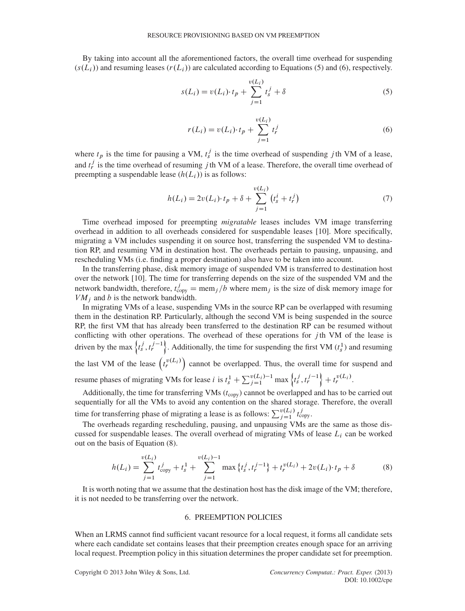By taking into account all the aforementioned factors, the overall time overhead for suspending  $(s(L_i))$  and resuming leases  $(r(L_i))$  are calculated according to Equations (5) and (6), respectively.

$$
s(L_i) = v(L_i) \tcdot t_p + \sum_{j=1}^{v(L_i)} t_s^j + \delta
$$
 (5)

$$
r(L_i) = v(L_i) \tcdot t_p + \sum_{j=1}^{v(L_i)} t_r^j
$$
 (6)

where  $t_p$  is the time for pausing a VM,  $t_s^j$  is the time overhead of suspending j th VM of a lease, and  $t_r^j$  is the time overhead of resuming j th VM of a lease. Therefore, the overall time overhead of preempting a suspendable lease  $(h(L_i))$  is as follows:

$$
h(L_i) = 2v(L_i) \tcdot t_p + \delta + \sum_{j=1}^{v(L_i)} (t_s^i + t_r^j)
$$
\n(7)

Time overhead imposed for preempting *migratable* leases includes VM image transferring overhead in addition to all overheads considered for suspendable leases [10]. More specifically, migrating a VM includes suspending it on source host, transferring the suspended VM to destination RP, and resuming VM in destination host. The overheads pertain to pausing, unpausing, and rescheduling VMs (i.e. finding a proper destination) also have to be taken into account.

In the transferring phase, disk memory image of suspended VM is transferred to destination host over the network [10]. The time for transferring depends on the size of the suspended VM and the network bandwidth, therefore,  $t_{\text{copy}}^j = \text{mem}_j / b$  where mem<sub>j</sub> is the size of disk memory image for  $VM_i$  and b is the network bandwidth.

In migrating VMs of a lease, suspending VMs in the source RP can be overlapped with resuming them in the destination RP. Particularly, although the second VM is being suspended in the source RP, the first VM that has already been transferred to the destination RP can be resumed without conflicting with other operations. The overhead of these operations for  $j$ th VM of the lease is driven by the max  $\{t_s^j, t_r^{j-1}\}$ . Additionally, the time for suspending the first VM  $(t_s^1)$  and resuming the last VM of the lease  $\left(t_r^{v(L_i)}\right)$ cannot be overlapped. Thus, the overall time for suspend and resume phases of migrating VMs for lease i is  $t_s^1 + \sum_{j=1}^{v(L_i)-1} \max\left\{t_s^j, t_r^{j-1}\right\}$  $+t_r^{v(L_i)}$ .

Additionally, the time for transferring VMs  $(t_{copy})$  cannot be overlapped and has to be carried out sequentially for all the VMs to avoid any contention on the shared storage. Therefore, the overall time for transferring phase of migrating a lease is as follows:  $\sum_{j=1}^{v(L_i)} t_{\text{copy}}^j$ .

The overheads regarding rescheduling, pausing, and unpausing VMs are the same as those discussed for suspendable leases. The overall overhead of migrating VMs of lease  $L_i$  can be worked out on the basis of Equation (8).

$$
h(L_i) = \sum_{j=1}^{v(L_i)} t_{\text{copy}}^j + t_s^1 + \sum_{j=1}^{v(L_i)-1} \max\left\{t_s^j, t_r^{j-1}\right\} + t_r^{v(L_i)} + 2v(L_i) \cdot t_p + \delta \tag{8}
$$

It is worth noting that we assume that the destination host has the disk image of the VM; therefore, it is not needed to be transferring over the network.

#### 6. PREEMPTION POLICIES

When an LRMS cannot find sufficient vacant resource for a local request, it forms all candidate sets where each candidate set contains leases that their preemption creates enough space for an arriving local request. Preemption policy in this situation determines the proper candidate set for preemption.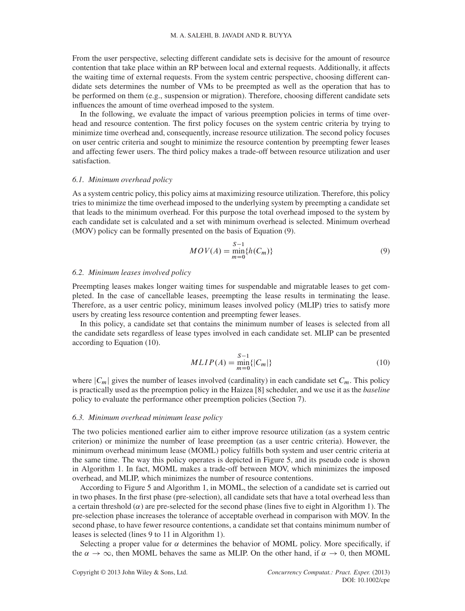From the user perspective, selecting different candidate sets is decisive for the amount of resource contention that take place within an RP between local and external requests. Additionally, it affects the waiting time of external requests. From the system centric perspective, choosing different candidate sets determines the number of VMs to be preempted as well as the operation that has to be performed on them (e.g., suspension or migration). Therefore, choosing different candidate sets influences the amount of time overhead imposed to the system.

In the following, we evaluate the impact of various preemption policies in terms of time overhead and resource contention. The first policy focuses on the system centric criteria by trying to minimize time overhead and, consequently, increase resource utilization. The second policy focuses on user centric criteria and sought to minimize the resource contention by preempting fewer leases and affecting fewer users. The third policy makes a trade-off between resource utilization and user satisfaction.

## *6.1. Minimum overhead policy*

As a system centric policy, this policy aims at maximizing resource utilization. Therefore, this policy tries to minimize the time overhead imposed to the underlying system by preempting a candidate set that leads to the minimum overhead. For this purpose the total overhead imposed to the system by each candidate set is calculated and a set with minimum overhead is selected. Minimum overhead (MOV) policy can be formally presented on the basis of Equation (9).

$$
MOV(A) = \min_{m=0}^{S-1} \{h(C_m)\}\tag{9}
$$

#### *6.2. Minimum leases involved policy*

Preempting leases makes longer waiting times for suspendable and migratable leases to get completed. In the case of cancellable leases, preempting the lease results in terminating the lease. Therefore, as a user centric policy, minimum leases involved policy (MLIP) tries to satisfy more users by creating less resource contention and preempting fewer leases.

In this policy, a candidate set that contains the minimum number of leases is selected from all the candidate sets regardless of lease types involved in each candidate set. MLIP can be presented according to Equation (10).

$$
MLIP(A) = \min_{m=0}^{S-1} \{|C_m|\}
$$
\n(10)

where  $|C_m|$  gives the number of leases involved (cardinality) in each candidate set  $C_m$ . This policy is practically used as the preemption policy in the Haizea [8] scheduler, and we use it as the *baseline* policy to evaluate the performance other preemption policies (Section 7).

#### *6.3. Minimum overhead minimum lease policy*

The two policies mentioned earlier aim to either improve resource utilization (as a system centric criterion) or minimize the number of lease preemption (as a user centric criteria). However, the minimum overhead minimum lease (MOML) policy fulfills both system and user centric criteria at the same time. The way this policy operates is depicted in Figure 5, and its pseudo code is shown in Algorithm 1. In fact, MOML makes a trade-off between MOV, which minimizes the imposed overhead, and MLIP, which minimizes the number of resource contentions.

According to Figure 5 and Algorithm 1, in MOML, the selection of a candidate set is carried out in two phases. In the first phase (pre-selection), all candidate sets that have a total overhead less than a certain threshold  $(\alpha)$  are pre-selected for the second phase (lines five to eight in Algorithm 1). The pre-selection phase increases the tolerance of acceptable overhead in comparison with MOV. In the second phase, to have fewer resource contentions, a candidate set that contains minimum number of leases is selected (lines 9 to 11 in Algorithm 1).

Selecting a proper value for  $\alpha$  determines the behavior of MOML policy. More specifically, if the  $\alpha \to \infty$ , then MOML behaves the same as MLIP. On the other hand, if  $\alpha \to 0$ , then MOML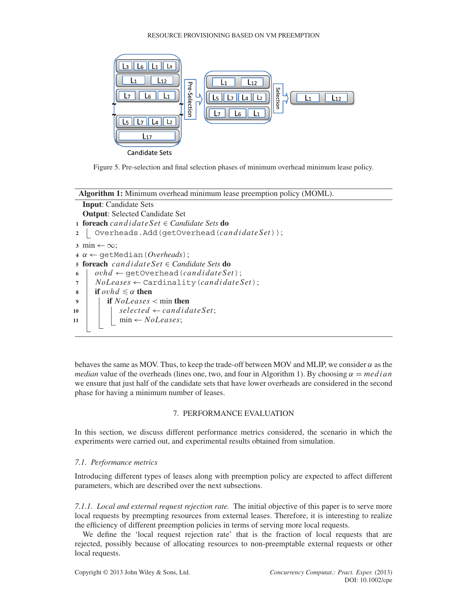

Figure 5. Pre-selection and final selection phases of minimum overhead minimum lease policy.

|                | <b>Algorithm 1:</b> Minimum overhead minimum lease preemption policy (MOML). |
|----------------|------------------------------------------------------------------------------|
|                | <b>Input:</b> Candidate Sets                                                 |
|                | <b>Output:</b> Selected Candidate Set                                        |
|                | 1 <b>foreach</b> candidate Set $\in$ Candidate Sets <b>do</b>                |
| $\overline{2}$ | Overheads. Add (qetOverhead $(candidateSet)$ );                              |
|                | 3 min $\leftarrow \infty$ ;                                                  |
|                | $4 \alpha \leftarrow$ qetMedian ( <i>Overheads</i> );                        |
|                | 5 foreach $candidateSet \in Candidate Sets$ do                               |
| 6              | $ovhd \leftarrow$ qetOverhead ( <i>candidateSet</i> );                       |
| 7              | $\textit{NoLeases} \leftarrow \text{Cardinality}(candidateSet);$             |
| 8              | if <i>ovhd</i> $\leq \alpha$ then                                            |
| 9              | <b>if</b> $Noleases < min$ then                                              |
| 10             | $selected \leftarrow candidateSet;$                                          |
| 11             | $min \leftarrow \textit{NoLeases};$                                          |
|                |                                                                              |

behaves the same as MOV. Thus, to keep the trade-off between MOV and MLIP, we consider  $\alpha$  as the *median* value of the overheads (lines one, two, and four in Algorithm 1). By choosing  $\alpha = \text{median}$ we ensure that just half of the candidate sets that have lower overheads are considered in the second phase for having a minimum number of leases.

# 7. PERFORMANCE EVALUATION

In this section, we discuss different performance metrics considered, the scenario in which the experiments were carried out, and experimental results obtained from simulation.

# *7.1. Performance metrics*

Introducing different types of leases along with preemption policy are expected to affect different parameters, which are described over the next subsections.

*7.1.1. Local and external request rejection rate.* The initial objective of this paper is to serve more local requests by preempting resources from external leases. Therefore, it is interesting to realize the efficiency of different preemption policies in terms of serving more local requests.

We define the 'local request rejection rate' that is the fraction of local requests that are rejected, possibly because of allocating resources to non-preemptable external requests or other local requests.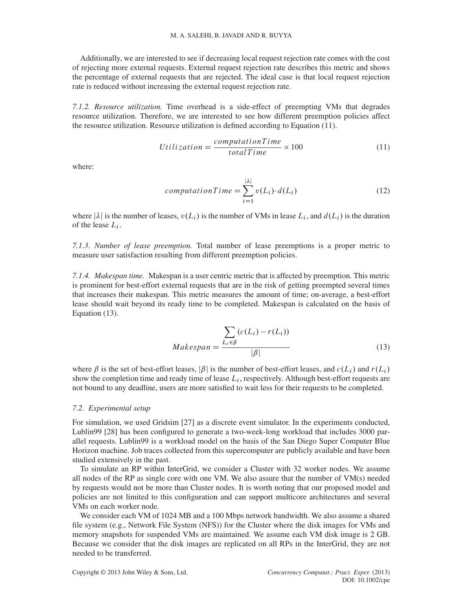Additionally, we are interested to see if decreasing local request rejection rate comes with the cost of rejecting more external requests. External request rejection rate describes this metric and shows the percentage of external requests that are rejected. The ideal case is that local request rejection rate is reduced without increasing the external request rejection rate.

*7.1.2. Resource utilization.* Time overhead is a side-effect of preempting VMs that degrades resource utilization. Therefore, we are interested to see how different preemption policies affect the resource utilization. Resource utilization is defined according to Equation (11).

$$
Utilization = \frac{computationTime}{totalTime} \times 100
$$
 (11)

where:

$$
computationTime = \sum_{i=1}^{|\lambda|} v(L_i) \cdot d(L_i)
$$
\n(12)

where  $|\lambda|$  is the number of leases,  $v(L_i)$  is the number of VMs in lease  $L_i$ , and  $d(L_i)$  is the duration of the lease  $L_i$ .

*7.1.3. Number of lease preemption.* Total number of lease preemptions is a proper metric to measure user satisfaction resulting from different preemption policies.

*7.1.4. Makespan time.* Makespan is a user centric metric that is affected by preemption. This metric is prominent for best-effort external requests that are in the risk of getting preempted several times that increases their makespan. This metric measures the amount of time; on-average, a best-effort lease should wait beyond its ready time to be completed. Makespan is calculated on the basis of Equation (13).

$$
Makespan = \frac{\sum_{i \in \beta} (c(L_i) - r(L_i))}{|\beta|}
$$
\n(13)

where  $\beta$  is the set of best-effort leases,  $|\beta|$  is the number of best-effort leases, and  $c(L_i)$  and  $r(L_i)$ show the completion time and ready time of lease  $L_i$ , respectively. Although best-effort requests are not bound to any deadline, users are more satisfied to wait less for their requests to be completed.

# *7.2. Experimental setup*

For simulation, we used Gridsim [27] as a discrete event simulator. In the experiments conducted, Lublin99 [28] has been configured to generate a two-week-long workload that includes 3000 parallel requests. Lublin99 is a workload model on the basis of the San Diego Super Computer Blue Horizon machine. Job traces collected from this supercomputer are publicly available and have been studied extensively in the past.

To simulate an RP within InterGrid, we consider a Cluster with 32 worker nodes. We assume all nodes of the RP as single core with one VM. We also assure that the number of VM(s) needed by requests would not be more than Cluster nodes. It is worth noting that our proposed model and policies are not limited to this configuration and can support multicore architectures and several VMs on each worker node.

We consider each VM of 1024 MB and a 100 Mbps network bandwidth. We also assume a shared file system (e.g., Network File System (NFS)) for the Cluster where the disk images for VMs and memory snapshots for suspended VMs are maintained. We assume each VM disk image is 2 GB. Because we consider that the disk images are replicated on all RPs in the InterGrid, they are not needed to be transferred.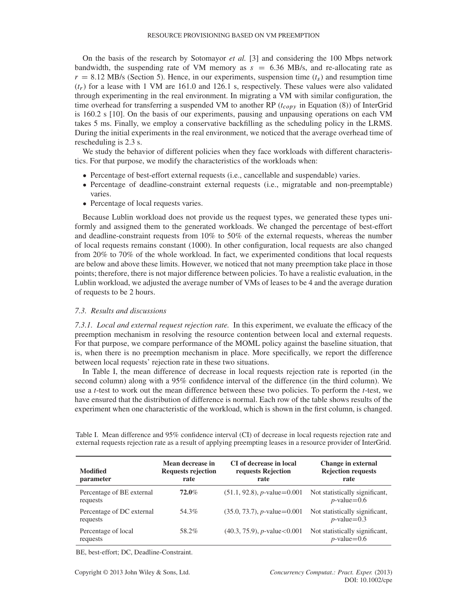On the basis of the research by Sotomayor *et al.* [3] and considering the 100 Mbps network bandwidth, the suspending rate of VM memory as  $s = 6.36$  MB/s, and re-allocating rate as  $r = 8.12$  MB/s (Section 5). Hence, in our experiments, suspension time ( $t<sub>s</sub>$ ) and resumption time  $(t_r)$  for a lease with 1 VM are 161.0 and 126.1 s, respectively. These values were also validated through experimenting in the real environment. In migrating a VM with similar configuration, the time overhead for transferring a suspended VM to another RP ( $t_{copy}$  in Equation (8)) of InterGrid is 160.2 s [10]. On the basis of our experiments, pausing and unpausing operations on each VM takes 5 ms. Finally, we employ a conservative backfilling as the scheduling policy in the LRMS. During the initial experiments in the real environment, we noticed that the average overhead time of rescheduling is 2.3 s.

We study the behavior of different policies when they face workloads with different characteristics. For that purpose, we modify the characteristics of the workloads when:

- Percentage of best-effort external requests (i.e., cancellable and suspendable) varies.
- Percentage of deadline-constraint external requests (i.e., migratable and non-preemptable) varies.
- Percentage of local requests varies.

Because Lublin workload does not provide us the request types, we generated these types uniformly and assigned them to the generated workloads. We changed the percentage of best-effort and deadline-constraint requests from 10% to 50% of the external requests, whereas the number of local requests remains constant (1000). In other configuration, local requests are also changed from 20% to 70% of the whole workload. In fact, we experimented conditions that local requests are below and above these limits. However, we noticed that not many preemption take place in those points; therefore, there is not major difference between policies. To have a realistic evaluation, in the Lublin workload, we adjusted the average number of VMs of leases to be 4 and the average duration of requests to be 2 hours.

## *7.3. Results and discussions*

*7.3.1. Local and external request rejection rate.* In this experiment, we evaluate the efficacy of the preemption mechanism in resolving the resource contention between local and external requests. For that purpose, we compare performance of the MOML policy against the baseline situation, that is, when there is no preemption mechanism in place. More specifically, we report the difference between local requests' rejection rate in these two situations.

In Table I, the mean difference of decrease in local requests rejection rate is reported (in the second column) along with a 95% confidence interval of the difference (in the third column). We use a *t*-test to work out the mean difference between these two policies. To perform the *t*-test, we have ensured that the distribution of difference is normal. Each row of the table shows results of the experiment when one characteristic of the workload, which is shown in the first column, is changed.

| Mean decrease in<br><b>Requests rejection</b><br>rate | CI of decrease in local<br>requests Rejection<br>rate | <b>Change in external</b><br><b>Rejection requests</b><br>rate |
|-------------------------------------------------------|-------------------------------------------------------|----------------------------------------------------------------|
| 72.0%                                                 | $(51.1, 92.8), p-value=0.001$                         | Not statistically significant,<br>$p$ -value=0.6               |
| 54.3%                                                 | $(35.0, 73.7)$ , <i>p</i> -value=0.001                | Not statistically significant,<br>$p$ -value=0.3               |
| 58.2%                                                 | $(40.3, 75.9)$ , <i>p</i> -value < 0.001              | Not statistically significant,<br>$p$ -value=0.6               |
|                                                       |                                                       |                                                                |

Table I. Mean difference and 95% confidence interval (CI) of decrease in local requests rejection rate and external requests rejection rate as a result of applying preempting leases in a resource provider of InterGrid.

BE, best-effort; DC, Deadline-Constraint.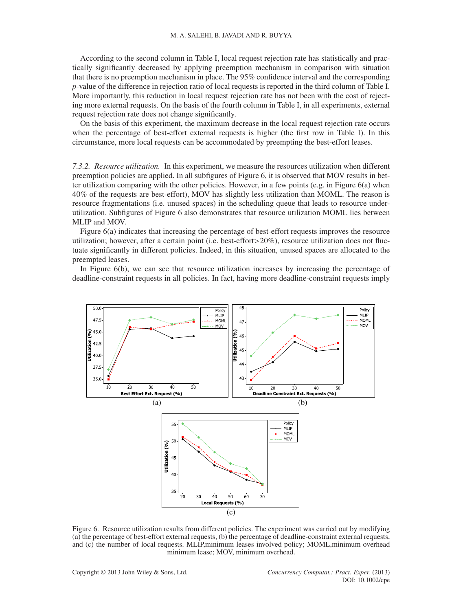According to the second column in Table I, local request rejection rate has statistically and practically significantly decreased by applying preemption mechanism in comparison with situation that there is no preemption mechanism in place. The 95% confidence interval and the corresponding *p*-value of the difference in rejection ratio of local requests is reported in the third column of Table I. More importantly, this reduction in local request rejection rate has not been with the cost of rejecting more external requests. On the basis of the fourth column in Table I, in all experiments, external request rejection rate does not change significantly.

On the basis of this experiment, the maximum decrease in the local request rejection rate occurs when the percentage of best-effort external requests is higher (the first row in Table I). In this circumstance, more local requests can be accommodated by preempting the best-effort leases.

*7.3.2. Resource utilization.* In this experiment, we measure the resources utilization when different preemption policies are applied. In all subfigures of Figure 6, it is observed that MOV results in better utilization comparing with the other policies. However, in a few points (e.g. in Figure 6(a) when 40% of the requests are best-effort), MOV has slightly less utilization than MOML. The reason is resource fragmentations (i.e. unused spaces) in the scheduling queue that leads to resource underutilization. Subfigures of Figure 6 also demonstrates that resource utilization MOML lies between MLIP and MOV.

Figure 6(a) indicates that increasing the percentage of best-effort requests improves the resource utilization; however, after a certain point (i.e. best-effort>20%), resource utilization does not fluctuate significantly in different policies. Indeed, in this situation, unused spaces are allocated to the preempted leases.

In Figure 6(b), we can see that resource utilization increases by increasing the percentage of deadline-constraint requests in all policies. In fact, having more deadline-constraint requests imply



Figure 6. Resource utilization results from different policies. The experiment was carried out by modifying (a) the percentage of best-effort external requests, (b) the percentage of deadline-constraint external requests, and (c) the number of local requests. MLIP,minimum leases involved policy; MOML,minimum overhead minimum lease; MOV, minimum overhead.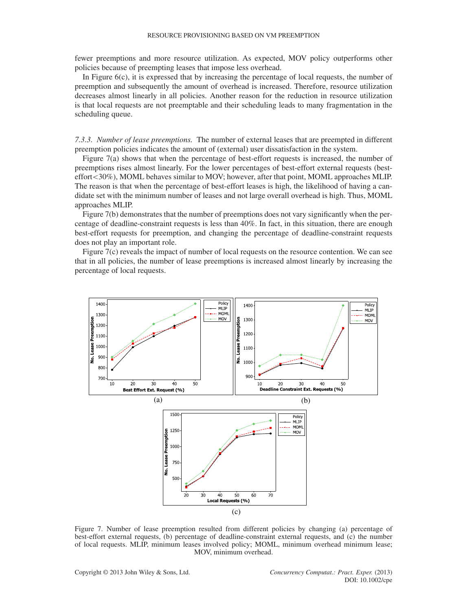fewer preemptions and more resource utilization. As expected, MOV policy outperforms other policies because of preempting leases that impose less overhead.

In Figure 6(c), it is expressed that by increasing the percentage of local requests, the number of preemption and subsequently the amount of overhead is increased. Therefore, resource utilization decreases almost linearly in all policies. Another reason for the reduction in resource utilization is that local requests are not preemptable and their scheduling leads to many fragmentation in the scheduling queue.

*7.3.3. Number of lease preemptions.* The number of external leases that are preempted in different preemption policies indicates the amount of (external) user dissatisfaction in the system.

Figure 7(a) shows that when the percentage of best-effort requests is increased, the number of preemptions rises almost linearly. For the lower percentages of best-effort external requests (besteffort<30%), MOML behaves similar to MOV; however, after that point, MOML approaches MLIP. The reason is that when the percentage of best-effort leases is high, the likelihood of having a candidate set with the minimum number of leases and not large overall overhead is high. Thus, MOML approaches MLIP.

Figure 7(b) demonstrates that the number of preemptions does not vary significantly when the percentage of deadline-constraint requests is less than 40%. In fact, in this situation, there are enough best-effort requests for preemption, and changing the percentage of deadline-constraint requests does not play an important role.

Figure 7(c) reveals the impact of number of local requests on the resource contention. We can see that in all policies, the number of lease preemptions is increased almost linearly by increasing the percentage of local requests.



Figure 7. Number of lease preemption resulted from different policies by changing (a) percentage of best-effort external requests, (b) percentage of deadline-constraint external requests, and (c) the number of local requests. MLIP, minimum leases involved policy; MOML, minimum overhead minimum lease; MOV, minimum overhead.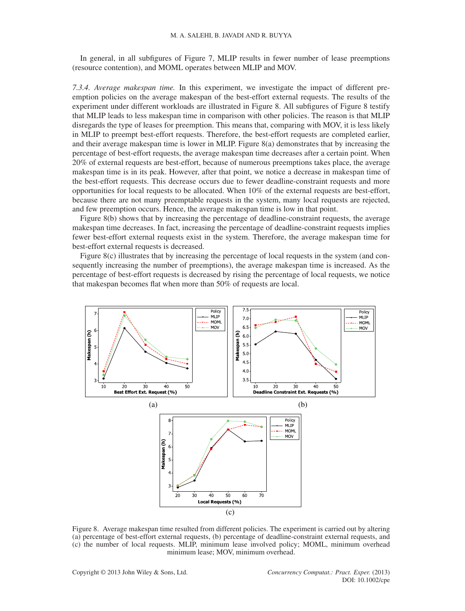In general, in all subfigures of Figure 7, MLIP results in fewer number of lease preemptions (resource contention), and MOML operates between MLIP and MOV.

*7.3.4. Average makespan time.* In this experiment, we investigate the impact of different preemption policies on the average makespan of the best-effort external requests. The results of the experiment under different workloads are illustrated in Figure 8. All subfigures of Figure 8 testify that MLIP leads to less makespan time in comparison with other policies. The reason is that MLIP disregards the type of leases for preemption. This means that, comparing with MOV, it is less likely in MLIP to preempt best-effort requests. Therefore, the best-effort requests are completed earlier, and their average makespan time is lower in MLIP. Figure 8(a) demonstrates that by increasing the percentage of best-effort requests, the average makespan time decreases after a certain point. When 20% of external requests are best-effort, because of numerous preemptions takes place, the average makespan time is in its peak. However, after that point, we notice a decrease in makespan time of the best-effort requests. This decrease occurs due to fewer deadline-constraint requests and more opportunities for local requests to be allocated. When 10% of the external requests are best-effort, because there are not many preemptable requests in the system, many local requests are rejected, and few preemption occurs. Hence, the average makespan time is low in that point.

Figure 8(b) shows that by increasing the percentage of deadline-constraint requests, the average makespan time decreases. In fact, increasing the percentage of deadline-constraint requests implies fewer best-effort external requests exist in the system. Therefore, the average makespan time for best-effort external requests is decreased.

Figure 8(c) illustrates that by increasing the percentage of local requests in the system (and consequently increasing the number of preemptions), the average makespan time is increased. As the percentage of best-effort requests is decreased by rising the percentage of local requests, we notice that makespan becomes flat when more than 50% of requests are local.



Figure 8. Average makespan time resulted from different policies. The experiment is carried out by altering (a) percentage of best-effort external requests, (b) percentage of deadline-constraint external requests, and (c) the number of local requests. MLIP, minimum lease involved policy; MOML, minimum overhead minimum lease; MOV, minimum overhead.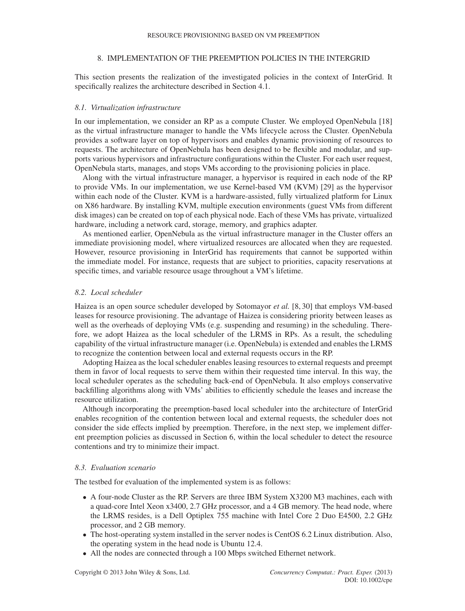# 8. IMPLEMENTATION OF THE PREEMPTION POLICIES IN THE INTERGRID

This section presents the realization of the investigated policies in the context of InterGrid. It specifically realizes the architecture described in Section 4.1.

#### *8.1. Virtualization infrastructure*

In our implementation, we consider an RP as a compute Cluster. We employed OpenNebula [18] as the virtual infrastructure manager to handle the VMs lifecycle across the Cluster. OpenNebula provides a software layer on top of hypervisors and enables dynamic provisioning of resources to requests. The architecture of OpenNebula has been designed to be flexible and modular, and supports various hypervisors and infrastructure configurations within the Cluster. For each user request, OpenNebula starts, manages, and stops VMs according to the provisioning policies in place.

Along with the virtual infrastructure manager, a hypervisor is required in each node of the RP to provide VMs. In our implementation, we use Kernel-based VM (KVM) [29] as the hypervisor within each node of the Cluster. KVM is a hardware-assisted, fully virtualized platform for Linux on X86 hardware. By installing KVM, multiple execution environments (guest VMs from different disk images) can be created on top of each physical node. Each of these VMs has private, virtualized hardware, including a network card, storage, memory, and graphics adapter.

As mentioned earlier, OpenNebula as the virtual infrastructure manager in the Cluster offers an immediate provisioning model, where virtualized resources are allocated when they are requested. However, resource provisioning in InterGrid has requirements that cannot be supported within the immediate model. For instance, requests that are subject to priorities, capacity reservations at specific times, and variable resource usage throughout a VM's lifetime.

## *8.2. Local scheduler*

Haizea is an open source scheduler developed by Sotomayor *et al.* [8, 30] that employs VM-based leases for resource provisioning. The advantage of Haizea is considering priority between leases as well as the overheads of deploying VMs (e.g. suspending and resuming) in the scheduling. Therefore, we adopt Haizea as the local scheduler of the LRMS in RPs. As a result, the scheduling capability of the virtual infrastructure manager (i.e. OpenNebula) is extended and enables the LRMS to recognize the contention between local and external requests occurs in the RP.

Adopting Haizea as the local scheduler enables leasing resources to external requests and preempt them in favor of local requests to serve them within their requested time interval. In this way, the local scheduler operates as the scheduling back-end of OpenNebula. It also employs conservative backfilling algorithms along with VMs' abilities to efficiently schedule the leases and increase the resource utilization.

Although incorporating the preemption-based local scheduler into the architecture of InterGrid enables recognition of the contention between local and external requests, the scheduler does not consider the side effects implied by preemption. Therefore, in the next step, we implement different preemption policies as discussed in Section 6, within the local scheduler to detect the resource contentions and try to minimize their impact.

#### *8.3. Evaluation scenario*

The testbed for evaluation of the implemented system is as follows:

- A four-node Cluster as the RP. Servers are three IBM System X3200 M3 machines, each with a quad-core Intel Xeon x3400, 2.7 GHz processor, and a 4 GB memory. The head node, where the LRMS resides, is a Dell Optiplex 755 machine with Intel Core 2 Duo E4500, 2.2 GHz processor, and 2 GB memory.
- The host-operating system installed in the server nodes is CentOS 6.2 Linux distribution. Also, the operating system in the head node is Ubuntu 12.4.
- All the nodes are connected through a 100 Mbps switched Ethernet network.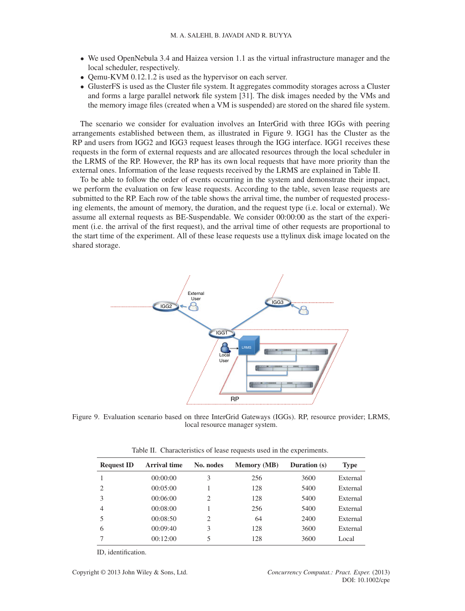- We used OpenNebula 3.4 and Haizea version 1.1 as the virtual infrastructure manager and the local scheduler, respectively.
- Qemu-KVM 0.12.1.2 is used as the hypervisor on each server.
- GlusterFS is used as the Cluster file system. It aggregates commodity storages across a Cluster and forms a large parallel network file system [31]. The disk images needed by the VMs and the memory image files (created when a VM is suspended) are stored on the shared file system.

The scenario we consider for evaluation involves an InterGrid with three IGGs with peering arrangements established between them, as illustrated in Figure 9. IGG1 has the Cluster as the RP and users from IGG2 and IGG3 request leases through the IGG interface. IGG1 receives these requests in the form of external requests and are allocated resources through the local scheduler in the LRMS of the RP. However, the RP has its own local requests that have more priority than the external ones. Information of the lease requests received by the LRMS are explained in Table II.

To be able to follow the order of events occurring in the system and demonstrate their impact, we perform the evaluation on few lease requests. According to the table, seven lease requests are submitted to the RP. Each row of the table shows the arrival time, the number of requested processing elements, the amount of memory, the duration, and the request type (i.e. local or external). We assume all external requests as BE-Suspendable. We consider 00:00:00 as the start of the experiment (i.e. the arrival of the first request), and the arrival time of other requests are proportional to the start time of the experiment. All of these lease requests use a ttylinux disk image located on the shared storage.



Figure 9. Evaluation scenario based on three InterGrid Gateways (IGGs). RP, resource provider; LRMS, local resource manager system.

| Table II. Characteristics of lease requests used in the experiments. |  |  |
|----------------------------------------------------------------------|--|--|
|----------------------------------------------------------------------|--|--|

| <b>Request ID</b> | <b>Arrival time</b> | No. nodes                     | <b>Memory (MB)</b> | Duration (s) | <b>Type</b> |
|-------------------|---------------------|-------------------------------|--------------------|--------------|-------------|
|                   | 00:00:00            | 3                             | 256                | 3600         | External    |
| 2                 | 00:05:00            |                               | 128                | 5400         | External    |
| 3                 | 00:06:00            | 2                             | 128                | 5400         | External    |
| $\overline{4}$    | 00:08:00            |                               | 256                | 5400         | External    |
|                   | 00:08:50            | $\mathfrak{D}_{\mathfrak{p}}$ | 64                 | 2400         | External    |
| 6                 | 00:09:40            | 3                             | 128                | 3600         | External    |
|                   | 00:12:00            | 5                             | 128                | 3600         | Local       |

ID, identification.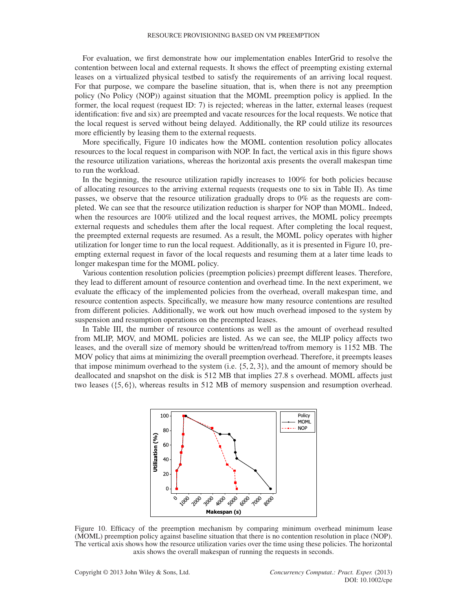For evaluation, we first demonstrate how our implementation enables InterGrid to resolve the contention between local and external requests. It shows the effect of preempting existing external leases on a virtualized physical testbed to satisfy the requirements of an arriving local request. For that purpose, we compare the baseline situation, that is, when there is not any preemption policy (No Policy (NOP)) against situation that the MOML preemption policy is applied. In the former, the local request (request ID: 7) is rejected; whereas in the latter, external leases (request identification: five and six) are preempted and vacate resources for the local requests. We notice that the local request is served without being delayed. Additionally, the RP could utilize its resources more efficiently by leasing them to the external requests.

More specifically, Figure 10 indicates how the MOML contention resolution policy allocates resources to the local request in comparison with NOP. In fact, the vertical axis in this figure shows the resource utilization variations, whereas the horizontal axis presents the overall makespan time to run the workload.

In the beginning, the resource utilization rapidly increases to 100% for both policies because of allocating resources to the arriving external requests (requests one to six in Table II). As time passes, we observe that the resource utilization gradually drops to 0% as the requests are completed. We can see that the resource utilization reduction is sharper for NOP than MOML. Indeed, when the resources are 100% utilized and the local request arrives, the MOML policy preempts external requests and schedules them after the local request. After completing the local request, the preempted external requests are resumed. As a result, the MOML policy operates with higher utilization for longer time to run the local request. Additionally, as it is presented in Figure 10, preempting external request in favor of the local requests and resuming them at a later time leads to longer makespan time for the MOML policy.

Various contention resolution policies (preemption policies) preempt different leases. Therefore, they lead to different amount of resource contention and overhead time. In the next experiment, we evaluate the efficacy of the implemented policies from the overhead, overall makespan time, and resource contention aspects. Specifically, we measure how many resource contentions are resulted from different policies. Additionally, we work out how much overhead imposed to the system by suspension and resumption operations on the preempted leases.

In Table III, the number of resource contentions as well as the amount of overhead resulted from MLIP, MOV, and MOML policies are listed. As we can see, the MLIP policy affects two leases, and the overall size of memory should be written/read to/from memory is 1152 MB. The MOV policy that aims at minimizing the overall preemption overhead. Therefore, it preempts leases that impose minimum overhead to the system (i.e.  $\{5, 2, 3\}$ ), and the amount of memory should be deallocated and snapshot on the disk is 512 MB that implies 27.8 s overhead. MOML affects just two leases  $({5, 6})$ , whereas results in 512 MB of memory suspension and resumption overhead.



Figure 10. Efficacy of the preemption mechanism by comparing minimum overhead minimum lease (MOML) preemption policy against baseline situation that there is no contention resolution in place (NOP). The vertical axis shows how the resource utilization varies over the time using these policies. The horizontal axis shows the overall makespan of running the requests in seconds.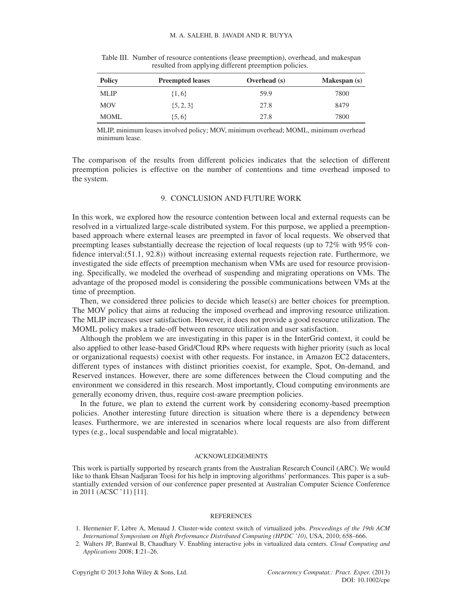| <b>Policy</b> | <b>Preempted leases</b> | Overhead (s) | Makespan (s) |
|---------------|-------------------------|--------------|--------------|
| <b>MLIP</b>   | $\{1,6\}$               | 59.9         | 7800         |
| <b>MOV</b>    | $\{5, 2, 3\}$           | 27.8         | 8479         |
| MOML          | $\{5,6\}$               | 27.8         | 7800         |

Table III. Number of resource contentions (lease preemption), overhead, and makespan resulted from applying different preemption policies.

MLIP, minimum leases involved policy; MOV, minimum overhead; MOML, minimum overhead minimum lease.

The comparison of the results from different policies indicates that the selection of different preemption policies is effective on the number of contentions and time overhead imposed to the system.

# 9. CONCLUSION AND FUTURE WORK

In this work, we explored how the resource contention between local and external requests can be resolved in a virtualized large-scale distributed system. For this purpose, we applied a preemptionbased approach where external leases are preempted in favor of local requests. We observed that preempting leases substantially decrease the rejection of local requests (up to 72% with 95% confidence interval:(51.1, 92.8)) without increasing external requests rejection rate. Furthermore, we investigated the side effects of preemption mechanism when VMs are used for resource provisioning. Specifically, we modeled the overhead of suspending and migrating operations on VMs. The advantage of the proposed model is considering the possible communications between VMs at the time of preemption.

Then, we considered three policies to decide which lease(s) are better choices for preemption. The MOV policy that aims at reducing the imposed overhead and improving resource utilization. The MLIP increases user satisfaction. However, it does not provide a good resource utilization. The MOML policy makes a trade-off between resource utilization and user satisfaction.

Although the problem we are investigating in this paper is in the InterGrid context, it could be also applied to other lease-based Grid/Cloud RPs where requests with higher priority (such as local or organizational requests) coexist with other requests. For instance, in Amazon EC2 datacenters, different types of instances with distinct priorities coexist, for example, Spot, On-demand, and Reserved instances. However, there are some differences between the Cloud computing and the environment we considered in this research. Most importantly, Cloud computing environments are generally economy driven, thus, require cost-aware preemption policies.

In the future, we plan to extend the current work by considering economy-based preemption policies. Another interesting future direction is situation where there is a dependency between leases. Furthermore, we are interested in scenarios where local requests are also from different types (e.g., local suspendable and local migratable).

#### ACKNOWLEDGEMENTS

This work is partially supported by research grants from the Australian Research Council (ARC). We would like to thank Ehsan Nadjaran Toosi for his help in improving algorithms' performances. This paper is a substantially extended version of our conference paper presented at Australian Computer Science Conference in 2011 (ACSC '11) [11].

#### **REFERENCES**

- 1. Hermenier F, Lèbre A, Menaud J. Cluster-wide context switch of virtualized jobs. *Proceedings of the 19th ACM International Symposium on High Performance Distributed Computing (HPDC '10)*, USA, 2010; 658–666.
- 2. Walters JP, Bantwal B, Chaudhary V. Enabling interactive jobs in virtualized data centers. *Cloud Computing and Applications* 2008; **1**:21–26.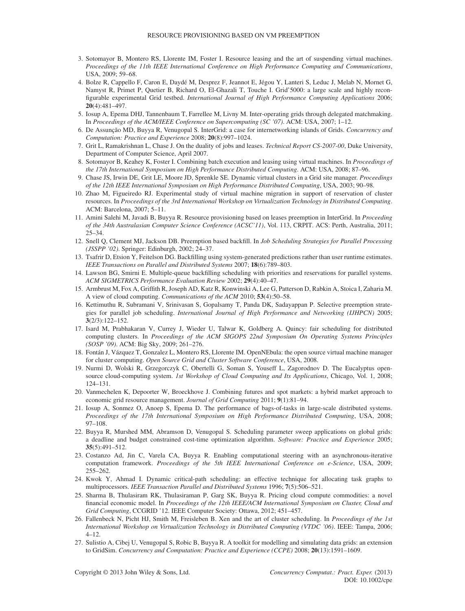- 3. Sotomayor B, Montero RS, Llorente IM, Foster I. Resource leasing and the art of suspending virtual machines. *Proceedings of the 11th IEEE International Conference on High Performance Computing and Communications*, USA, 2009; 59–68.
- 4. Bolze R, Cappello F, Caron E, Daydé M, Desprez F, Jeannot E, Jégou Y, Lanteri S, Leduc J, Melab N, Mornet G, Namyst R, Primet P, Quetier B, Richard O, El-Ghazali T, Touche I. Grid'5000: a large scale and highly reconfigurable experimental Grid testbed. *International Journal of High Performance Computing Applications* 2006; **20**(4):481–497.
- 5. Iosup A, Epema DHJ, Tannenbaum T, Farrellee M, Livny M. Inter-operating grids through delegated matchmaking. In *Proceedings of the ACM/IEEE Conference on Supercomputing (SC '07)*. ACM: USA, 2007; 1–12.
- 6. De Assunção MD, Buyya R, Venugopal S. InterGrid: a case for internetworking islands of Grids. *Concurrency and Computation: Practice and Experience* 2008; **20**(8):997–1024.
- 7. Grit L, Ramakrishnan L, Chase J. On the duality of jobs and leases. *Technical Report CS-2007-00*, Duke University, Department of Computer Science, April 2007.
- 8. Sotomayor B, Keahey K, Foster I. Combining batch execution and leasing using virtual machines. In *Proceedings of the 17th International Symposium on High Performance Distributed Computing*. ACM: USA, 2008; 87–96.
- 9. Chase JS, Irwin DE, Grit LE, Moore JD, Sprenkle SE. Dynamic virtual clusters in a Grid site manager. *Proceedings of the 12th IEEE International Symposium on High Performance Distributed Computing*, USA, 2003; 90–98.
- 10. Zhao M, Figueiredo RJ. Experimental study of virtual machine migration in support of reservation of cluster resources. In *Proceedings of the 3rd International Workshop on Virtualization Technology in Distributed Computing*. ACM: Barcelona, 2007; 5–11.
- 11. Amini Salehi M, Javadi B, Buyya R. Resource provisioning based on leases preemption in InterGrid. In *Proceeding of the 34th Australasian Computer Science Conference (ACSC'11)*, Vol. 113, CRPIT. ACS: Perth, Australia, 2011; 25–34.
- 12. Snell Q, Clement MJ, Jackson DB. Preemption based backfill. In *Job Scheduling Strategies for Parallel Processing (JSSPP '02)*. Springer: Edinburgh, 2002; 24–37.
- 13. Tsafrir D, Etsion Y, Feitelson DG. Backfilling using system-generated predictions rather than user runtime estimates. *IEEE Transactions on Parallel and Distributed Systems* 2007; **18**(6):789–803.
- 14. Lawson BG, Smirni E. Multiple-queue backfilling scheduling with priorities and reservations for parallel systems. *ACM SIGMETRICS Performance Evaluation Review* 2002; **29**(4):40–47.
- 15. Armbrust M, Fox A, Griffith R, Joseph AD, Katz R, Konwinski A, Lee G, Patterson D, Rabkin A, Stoica I, Zaharia M. A view of cloud computing. *Communications of the ACM* 2010; **53**(4):50–58.
- 16. Kettimuthu R, Subramani V, Srinivasan S, Gopalsamy T, Panda DK, Sadayappan P. Selective preemption strategies for parallel job scheduling. *International Journal of High Performance and Networking (IJHPCN)* 2005; **3**(2/3):122–152.
- 17. Isard M, Prabhakaran V, Currey J, Wieder U, Talwar K, Goldberg A. Quincy: fair scheduling for distributed computing clusters. In *Proceedings of the ACM SIGOPS 22nd Symposium On Operating Systems Principles (SOSP '09)*. ACM: Big Sky, 2009; 261–276.
- 18. Fontán J, Vázquez T, Gonzalez L, Montero RS, Llorente IM. OpenNEbula: the open source virtual machine manager for cluster computing. *Open Source Grid and Cluster Software Conference*, USA, 2008.
- 19. Nurmi D, Wolski R, Grzegorczyk C, Obertelli G, Soman S, Youseff L, Zagorodnov D. The Eucalyptus opensource cloud-computing system. *1st Workshop of Cloud Computing and Its Applications*, Chicago, Vol. 1, 2008; 124–131.
- 20. Vanmechelen K, Depoorter W, Broeckhove J. Combining futures and spot markets: a hybrid market approach to economic grid resource management. *Journal of Grid Computing* 2011; **9**(1):81–94.
- 21. Iosup A, Sonmez O, Anoep S, Epema D. The performance of bags-of-tasks in large-scale distributed systems. *Proceedings of the 17th International Symposium on High Performance Distributed Computing*, USA, 2008; 97–108.
- 22. Buyya R, Murshed MM, Abramson D, Venugopal S. Scheduling parameter sweep applications on global grids: a deadline and budget constrained cost-time optimization algorithm. *Software: Practice and Experience* 2005; **35**(5):491–512.
- 23. Costanzo Ad, Jin C, Varela CA, Buyya R. Enabling computational steering with an asynchronous-iterative computation framework. *Proceedings of the 5th IEEE International Conference on e-Science*, USA, 2009; 255–262.
- 24. Kwok Y, Ahmad I. Dynamic critical-path scheduling: an effective technique for allocating task graphs to multiprocessors. *IEEE Transaction Parallel and Distributed Systems* 1996; **7**(5):506–521.
- 25. Sharma B, Thulasiram RK, Thulasiraman P, Garg SK, Buyya R. Pricing cloud compute commodities: a novel financial economic model. In *Proceedings of the 12th IEEE/ACM International Symposium on Cluster, Cloud and Grid Computing*, CCGRID '12. IEEE Computer Society: Ottawa, 2012; 451–457.
- 26. Fallenbeck N, Picht HJ, Smith M, Freisleben B. Xen and the art of cluster scheduling. In *Proceedings of the 1st International Workshop on Virtualization Technology in Distributed Computing (VTDC '06)*. IEEE: Tampa, 2006;  $4 - 12.$
- 27. Sulistio A, Cibej U, Venugopal S, Robic B, Buyya R. A toolkit for modelling and simulating data grids: an extension to GridSim. *Concurrency and Computation: Practice and Experience (CCPE)* 2008; **20**(13):1591–1609.